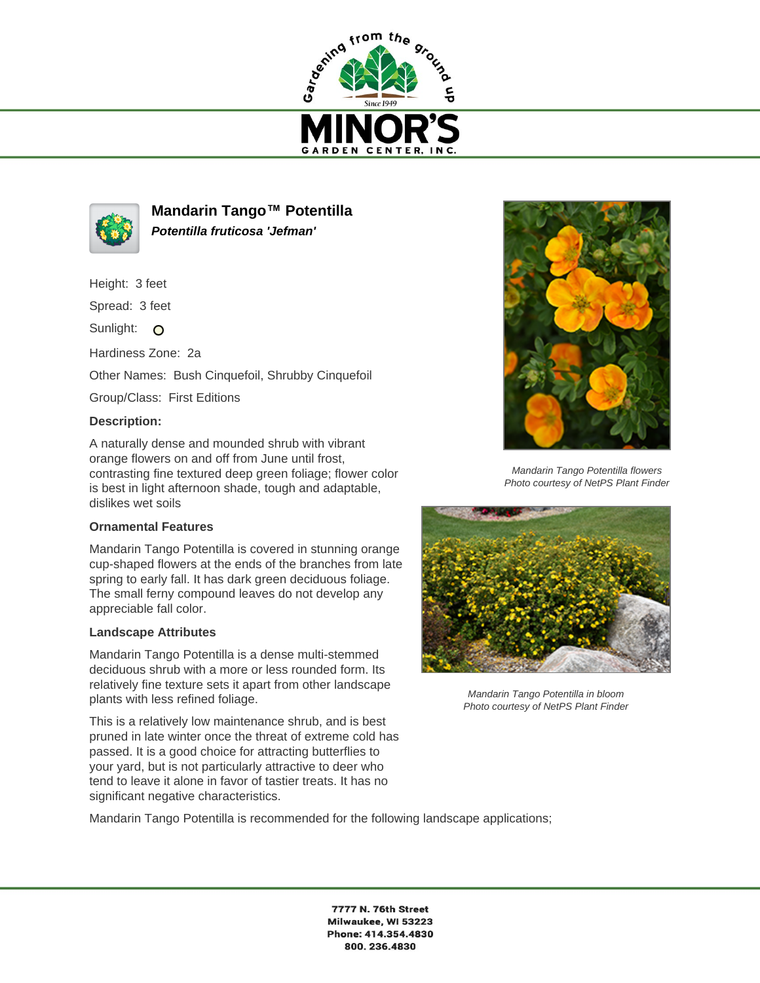



**Mandarin Tango™ Potentilla Potentilla fruticosa 'Jefman'**

Height: 3 feet

Spread: 3 feet

Sunlight: O

Hardiness Zone: 2a

Other Names: Bush Cinquefoil, Shrubby Cinquefoil

Group/Class: First Editions

## **Description:**

A naturally dense and mounded shrub with vibrant orange flowers on and off from June until frost, contrasting fine textured deep green foliage; flower color is best in light afternoon shade, tough and adaptable, dislikes wet soils

## **Ornamental Features**

Mandarin Tango Potentilla is covered in stunning orange cup-shaped flowers at the ends of the branches from late spring to early fall. It has dark green deciduous foliage. The small ferny compound leaves do not develop any appreciable fall color.

## **Landscape Attributes**

Mandarin Tango Potentilla is a dense multi-stemmed deciduous shrub with a more or less rounded form. Its relatively fine texture sets it apart from other landscape plants with less refined foliage.

This is a relatively low maintenance shrub, and is best pruned in late winter once the threat of extreme cold has passed. It is a good choice for attracting butterflies to your yard, but is not particularly attractive to deer who tend to leave it alone in favor of tastier treats. It has no significant negative characteristics.



Mandarin Tango Potentilla flowers Photo courtesy of NetPS Plant Finder



Mandarin Tango Potentilla in bloom Photo courtesy of NetPS Plant Finder

Mandarin Tango Potentilla is recommended for the following landscape applications;

7777 N. 76th Street Milwaukee, WI 53223 Phone: 414.354.4830 800.236.4830